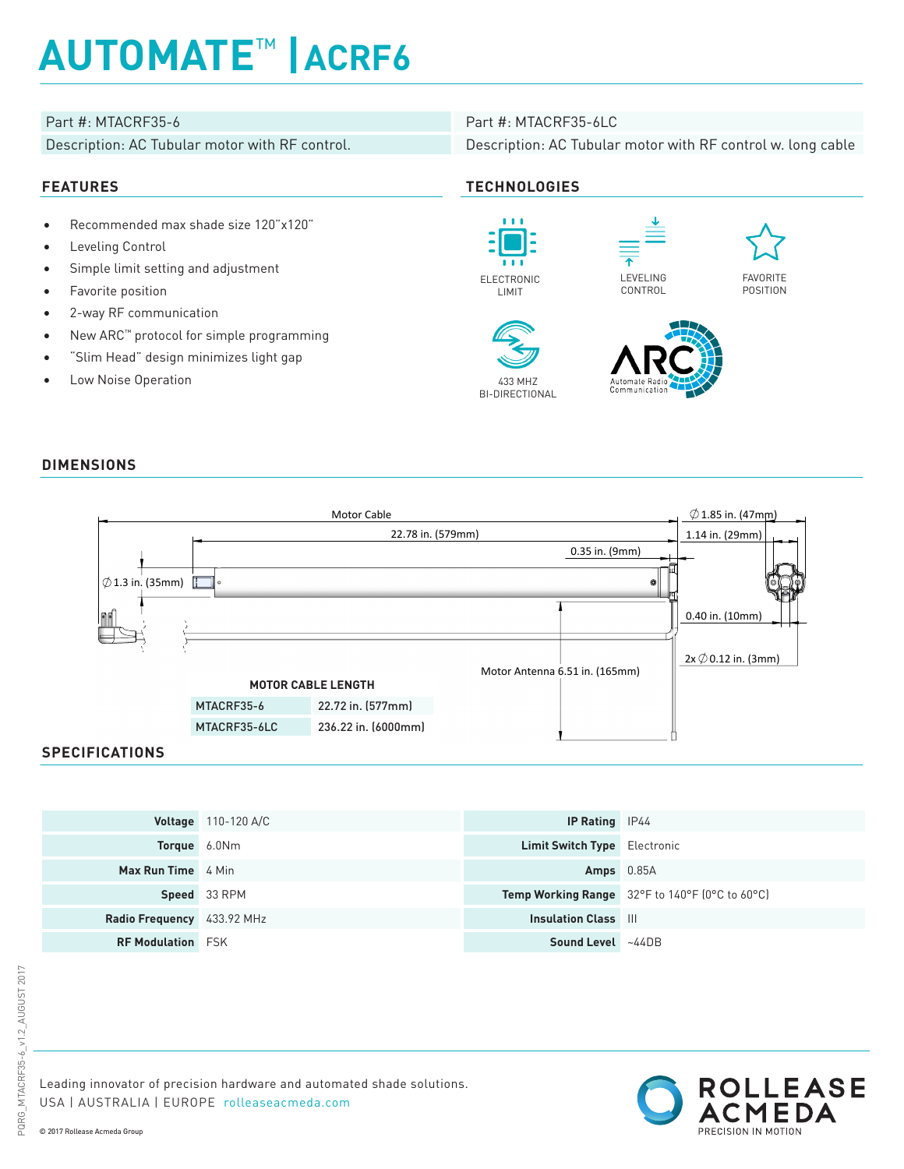# **AUTOMATE**™ **|ACRF6**

## Part #: MTACRF35-6 Part #: MTACRF35-6LC

Description: AC Tubular motor with RF control. Description: AC Tubular motor with RF control w. long cable

## **FEATURES TECHNOLOGIES**

- Recommended max shade size 120"x120"
- Leveling Control
- Simple limit setting and adjustment
- Favorite position
- 2-way RF communication
- New ARC™ protocol for simple programming
- "Slim Head" design minimizes light gap
- Low Noise Operation



LIMIT















### **DIMENSIONS**



### **SPECIFICATIONS**

|                            | <b>Voltage</b> $110-120$ A/C | <b>IP Rating</b> IP44               |                                                |
|----------------------------|------------------------------|-------------------------------------|------------------------------------------------|
| <b>Torque</b> 6.0Nm        |                              | <b>Limit Switch Type</b> Electronic |                                                |
| <b>Max Run Time</b> 4 Min  |                              | Amps $0.85A$                        |                                                |
|                            | Speed 33 RPM                 |                                     | Temp Working Range 32°F to 140°F (0°C to 60°C) |
| Radio Frequency 433.92 MHz |                              | <b>Insulation Class III</b>         |                                                |
| <b>RF Modulation</b> FSK   |                              | Sound Level ~44DB                   |                                                |

Leading innovator of precision hardware and automated shade solutions. USA | AUSTRALIA | EUROPE rolleaseacmeda.com